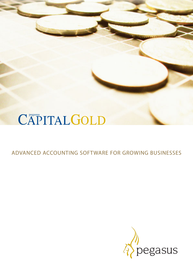# **CAPITAL GOLD**

ADVANCED ACCOUNTING SOFTWARE FOR GROWING BUSINESSES

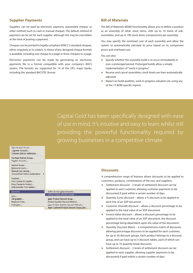#### **Supplier Payments**

Suppliers can be paid by electronic payment, automated cheque, or other method (such as cash or manual cheque). The default method of payment can be set for each supplier, although this may be overridden at the time of posting a payment.

Cheques can be printed to legally compliant APACS 3 standard cheques, either singularly or in a batch. A choice of pre-designed cheque formats is available, including one cheque to a page or three cheques to a page.

Electronic payments can be made by generating an electronic payments file in a format compatible with your company's BACS system. File formats are supported for 14 of the UK's major banks, including the standard BACSTEL format.

#### **Bill of Materials**

The Bill of Materials (BOM) functionality allows you to define a product as an assembly of other stock items, with up to 10 levels of subassemblies, and up to 100 stock items (components) per assembly.

You may specify the overhead cost of each assembly and allow the system to automatically calculate its price based on its component prices and overhead cost.

You can also:

- $\bullet$  Specify whether the assembly build is to occur immediately or over a prolonged period. Prolonged builds allow a simple implementation of "work in progress"
- Receive and cancel assemblies; stock levels are then automatically adjusted
- Report on build qualities, work in progress valuation etc using any of the 13 BOM-specific reports

Capital Gold has been specifically designed with ease of use in mind. It's intuitive and easy to learn whilst still providing the powerful functionality required by growing businesses in a competitive climate.

| Sake Analysis Groups<br>Customer Accounts<br>Customer Delivery Addresses                       |                                                                                                                                                 |
|------------------------------------------------------------------------------------------------|-------------------------------------------------------------------------------------------------------------------------------------------------|
| Purchase Analysis Groups<br>Supplier Accounts                                                  |                                                                                                                                                 |
| Nominal Groupe<br>Nominal Accounts<br>Nominal Cost Centres<br>Account/Cost Centre Combinations |                                                                                                                                                 |
| Products<br>Price Change by Suppley<br>Price Change by Product<br>DOM Assembly Price Update    |                                                                                                                                                 |
| Upcounts                                                                                       | Define Invoice Value Discounts                                                                                                                  |
| Johnson<br>Job Budgets<br>Employee Cods<br>Employees                                           | Define Product Discount Groups.<br>Apply Product Discount Group<br>Product Quantity Discount Matrices<br>Copy Product Quantity Docuunt Matrices |
|                                                                                                | Apply Customer/Product Discount Group Links                                                                                                     |

#### **Discounts**

A comprehensive range of features allows discounts to be applied to customers, products, combinations of the two, and suppliers.

- Settlement discount 2 levels of settlement discount can be applied to each customer, allowing customer payments to be discounted if paid within a certain number of days
- Quantity (Line) discount allows a % discount to be applied to each line of an SOP document
- Customer (Overall) discount allows a discount percentage to be applied to the total value of an SOP document
- $\bullet$  Invoice Value discount allows a discount percentage to be applied to the total value of an SOP document, the discount percentage being dependent upon the value of the document.
- $\bullet$  Quantity Discount Matrix a comprehensive matrix of discounts, allowing percentage discounts to be applied for each customer, for up to 20 discount groups. Each product belongs to a discount group, and can have up to 5 discount tables, each of which can have up to 10 quantity break discounts.
- Settlement discount 2 levels of settlement discount can be applied to each supplier, allowing supplier payments to be discounted if paid within a certain number of days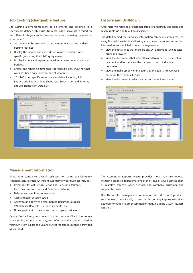#### **Job Costing (chargeable feature)**

Job Costing allows transactions to be entered and assigned to a specific, pre-defined job. It uses Nominal Ledger accounts to report on the different categories of income and expense, removing the need for "cost codes".

- Job codes can be assigned to transactions in all of the standard posting routines
- $\bullet$  Display the income and expenditure values associated with specific jobs using the Job Enquiry screen
- Display income and expenditure values against previously stated budgets
- Create, and report on, time sheets for specific jobs, showing what work has been done, by who, and at what rate
- 17 Job Costing specific reports are available, including Job Enquiry, Job Budgets, Time Sheets, Job Stock Issues and Returns, and Job Transaction Detail List

#### **History and Drilldown**

A full history is retained of customer, supplier and product records, and is accessible via a suite of Enquiry screens.

The detail behind the summary information can be instantly accessed using the drilldown facility, allowing you to view the source transaction information from which documents are generated.

- $\bullet$  View the detail lines that make up an SOP document such as sales order and invoice
- View the documents that were allocated to as part of a receipt, or payment, and further view the make-up of each individual document
- $\bullet$  View the make-up of Nominal journals, and Sales and Purchase entries in the Nominal Ledger
- View the document in which a stock movement was made

 $0.70011$ 

E



#### **Management Information**

Show your company's overall cash position using the Company Financial Status screen. An instant summary of your business includes:

- **•** Reminders for VAT Return, Period End, Recurring Journals, Electronic Transmission, and Bank Reconciliation
- Debtors and creditors control totals
- $\bullet$  Cash and bank account totals
- Ability to drill down to details behind Recurring Journals, VAT Liability, Receipts Due, and Payments Due
- Notes, pertinent to the current status of your business

Capital Gold allows you to select from a choice of Chart of Accounts when setting up your company, and offers you the option to design your own Profit & Loss and Balance Sheet reports or use those provided as standard.

The Accounting Reports wizard provides more than 180 reports, including graphical representations of the status of your business, such as cashflow forecast, aged debtors, and company, customer, and supplier turnover.

121111 3488888

1838180

Ë

**SECRE** 

Directly transfer management information into Microsoft® products such as Word® and Excel®, or use the Accounting Reports wizard to export information to other common formats, including CSV, HTML, RTF and TXT.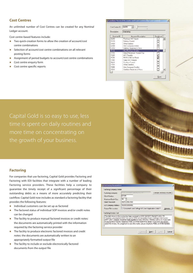#### **Cost Centres**

An unlimited number of Cost Centres can be created for any Nominal Ledger account.

Cost centre-based features include:

- Two quick-creation forms to allow the creation of account/cost centre combinations
- Selection of account/cost centre combinations on all relevant posting forms
- Assignment of period budgets to account/cost centre combinations
- Cost centre enquiry form
- Cost centre specific reports





#### **Factoring**

For companies that use factoring, Capital Gold provides Factoring and Factoring with EDI facilities that integrate with a number of leading Factoring service providers. These facilities help a company to guarantee the timely receipt of a significant percentage of their outstanding debts as a means of more accurately predicting their cashflow. Capital Gold now includes as standard a factoring facility that provides the following features:

- $\bullet$  Individual customers can be set up as factored
- The factored status of individual SOP invoices and/or credit notes can be changed
- The facility to produce manual factored invoices or credit notes: the documents are automatically printed with the information required by the factoring service provider
- The facility to produce electronic factored invoices and credit notes: the documents are automatically written to an appropriately formatted output file
- $\bullet$  The facility to include or exclude electronically factored documents from the output file

| <b>Nations Censure:</b>    | HELMI, BRITISHE WAYER IT IS LITTLE                      | LARVAN ENGINEER FOVERY |          |
|----------------------------|---------------------------------------------------------|------------------------|----------|
| Client Number.             | 12045                                                   |                        |          |
| <b>Hairman Baldy Size:</b> | 51 10                                                   |                        |          |
| <b>Clentifissuem#</b>      | <b>SILITZ MSG/TEXI</b>                                  |                        |          |
| LET L'ongany Address       | <b>SEACREMENT</b>                                       |                        |          |
| <b>Dured File Location</b> | L'1Documents and Selfings/All User/Application Bata'(1) |                        | Linevese |

The debt dones in this involve has here assigned to RSBC RMFRCF FRANKIF (LIQ) TD<br>Theodore, georgraphent tristCT he used to HCRC of Constantine Data( Worthing, Wart Ca The AMY district in this broadcast Am head you and provide it is the China American property. The China Theodor<br>The adverty process with the second in 1930 of The Company of The American Conditions (China Theodor)<br>UNIT 201

**Lineary** 

Note | Lives | Cancel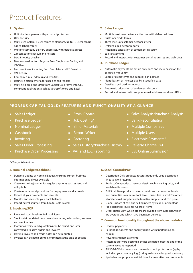## Product Features

#### **1. System**

- Unlimited companies with password protection
- User security
- Multi-user system: 1 user comes as standard, up to 10 users can be added (chargeable)
- $\bullet$  Multiple company delivery addresses, with default address
- Zip compatible Backup and Restore
- $\bullet$  Data integrity checker
- Data conversion from Pegasus Solo, Single user, Senior, and CSV files
- Euro readiness, including Euro Calculator and EC Sales List
- VAT Return
- Company e-mail address and web URL
- Define selection criteria for user-defined reports
- Multi-field drag-and-drop from Capital Gold forms into OLE compliant applications such as Microsoft Word and Excel

#### **2. Sales Ledger**

- Multiple customer delivery addresses, with default address
- Customer credit terms
- Three levels of customer debtors letters
- Detailed aged debtor reports
- Automatic calculation of settlement discount
- Sales statements
- Record and interact with customer e-mail addresses and web URLs

#### **3. Purchase Ledger**

- Automatic payments are set up only once and recur based on the specified frequency
- $\bullet$  Supplier credit terms and supplier bank details
- Identification of invoices due by a specified date
- Detailed aged creditor reports
- Automatic calculation of settlement discount
- Record and interact with supplier e-mail addresses and web URLs

### **PEGASUS CAPITAL GOLD: FEATURES AND FUNCTIONALITY AT A GLANCE**

- Sales Ledger
- Purchase Ledger
- Nominal Ledger
- Cashbook
- $\bullet$  Invoicing
- Sales Order Processing
- Purchase Order Processing
- **Stock Control**
- $\bullet$  Job Costing\*
- Bill of Materials
- $\bullet$  Report Writer
- $\bullet$  Factoring
- Sales History/Purchase History
- VAT and ESL Reporting
- Sales Analysis/Purchase Analysis
- Bank Reconciliation
- Multiple Companies
- Multiple Users
- Electronic Payments\*
- Reverse Charge VAT
- ESL Online Submission

#### \* Chargeable feature

#### **4. Nominal Ledger/Cashbook**

- Dynamic update of Nominal Ledger, ensuring current business information is always available
- Create recurring journals for regular payments such as rent and utility bills
- $\bullet$  Create reserves and provisions for prepayments and accruals
- Record all your payments and receipts
- Monitor and reconcile your bank balances
- Import payroll journals from Capital Gold Payroll

#### **5. Invoicing/SOP**

- $\bullet$  Projected stock levels for full stock items
- Stock details updated on screen when raising sales orders, invoices, and credit notes
- Proforma invoices and quotations can be raised, and later converted into sales orders and invoices
- Existing invoices and credit notes can be reprinted
- Invoices can be batch printed, or printed at the time of posting

#### **6. Stock Control/POP**

- Description Only products: records frequently used description lines to avoid retyping
- Product Only products: records details such as selling price, and available discounts
- Full Stock Item products: records details such as re-order levels and quantities, minimum stock levels, quantities in stock/on order/ allocated/sold, supplier and alternative supplier, and cost price
- Global update of cost and selling prices by value or percentage
- Projected stock levels for full stock items
- Order status: view which orders are awaited from suppliers, which are overdue and which have been part delivered

#### **7. Common functionality throughout the above modules:**

- $\bullet$  Flexible payments
- Re-print documents and enquiry report whilst performing an enquiry
- Advance and part payments
- Automatic forward posting if entries are dated after the end of the current accounting period
- All SOP/POP documents can be made to look professional (eg by including your company logo) using exclusively designed stationery
- Spell-check appropriate text fields such as narratives and comments